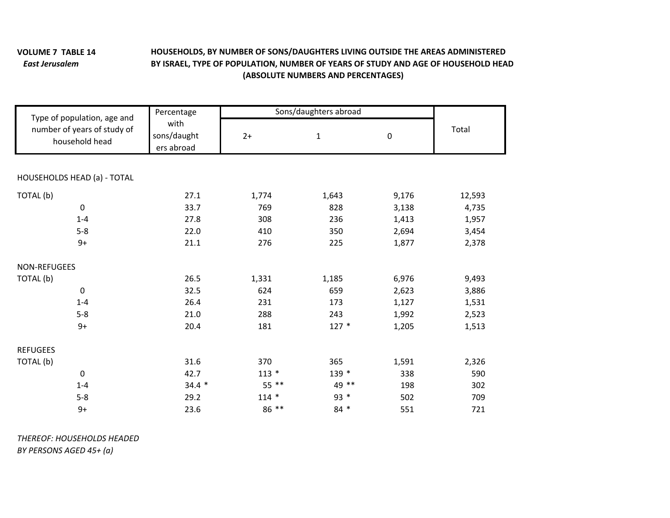## **VOLUME 7***East Jerusalem*

## **TABLE 14 HOUSEHOLDS, BY NUMBER OF SONS/DAUGHTERS LIVING OUTSIDE THE AREAS ADMINISTERED BY ISRAEL, TYPE OF POPULATION, NUMBER OF YEARS OF STUDY AND AGE OF HOUSEHOLD HEAD (ABSOLUTE NUMBERS AND PERCENTAGES)**

| Type of population, age and<br>number of years of study of<br>household head | Percentage<br>with<br>sons/daught<br>ers abroad | Sons/daughters abroad |              |           |        |
|------------------------------------------------------------------------------|-------------------------------------------------|-----------------------|--------------|-----------|--------|
|                                                                              |                                                 | $2+$                  | $\mathbf{1}$ | $\pmb{0}$ | Total  |
|                                                                              |                                                 |                       |              |           |        |
| HOUSEHOLDS HEAD (a) - TOTAL                                                  |                                                 |                       |              |           |        |
| TOTAL (b)                                                                    | 27.1                                            | 1,774                 | 1,643        | 9,176     | 12,593 |
| $\pmb{0}$                                                                    | 33.7                                            | 769                   | 828          | 3,138     | 4,735  |
| $1 - 4$                                                                      | 27.8                                            | 308                   | 236          | 1,413     | 1,957  |
| $5 - 8$                                                                      | 22.0                                            | 410                   | 350          | 2,694     | 3,454  |
| $9+$                                                                         | 21.1                                            | 276                   | 225          | 1,877     | 2,378  |
| <b>NON-REFUGEES</b>                                                          |                                                 |                       |              |           |        |
| TOTAL (b)                                                                    | 26.5                                            | 1,331                 | 1,185        | 6,976     | 9,493  |
| $\mathbf 0$                                                                  | 32.5                                            | 624                   | 659          | 2,623     | 3,886  |
| $1 - 4$                                                                      | 26.4                                            | 231                   | 173          | 1,127     | 1,531  |
| $5 - 8$                                                                      | 21.0                                            | 288                   | 243          | 1,992     | 2,523  |
| $9+$                                                                         | 20.4                                            | 181                   | $127 *$      | 1,205     | 1,513  |
| <b>REFUGEES</b>                                                              |                                                 |                       |              |           |        |
| TOTAL (b)                                                                    | 31.6                                            | 370                   | 365          | 1,591     | 2,326  |
| 0                                                                            | 42.7                                            | $113 *$               | 139 *        | 338       | 590    |
| $1 - 4$                                                                      | $34.4*$                                         | 55 **                 | 49 **        | 198       | 302    |
| $5 - 8$                                                                      | 29.2                                            | $114 *$               | $93 *$       | 502       | 709    |
| $9+$                                                                         | 23.6                                            | 86 **                 | $84 *$       | 551       | 721    |

*THEREOF: HOUSEHOLDS HEADED*

*BY PERSONS AGED 45+ (a)*